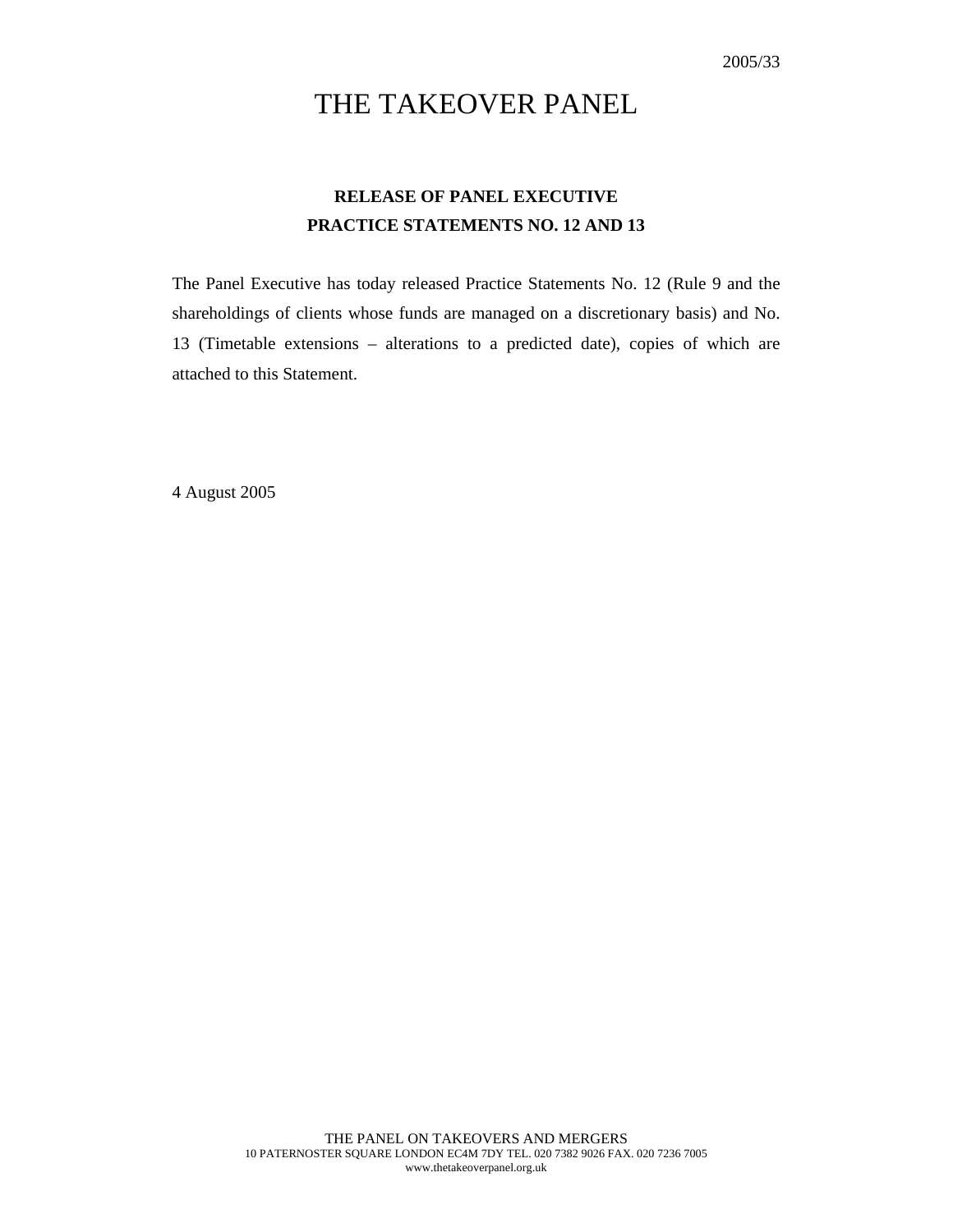# THE TAKEOVER PANEL

## **RELEASE OF PANEL EXECUTIVE PRACTICE STATEMENTS NO. 12 AND 13**

The Panel Executive has today released Practice Statements No. 12 (Rule 9 and the shareholdings of clients whose funds are managed on a discretionary basis) and No. 13 (Timetable extensions – alterations to a predicted date), copies of which are attached to this Statement.

4 August 2005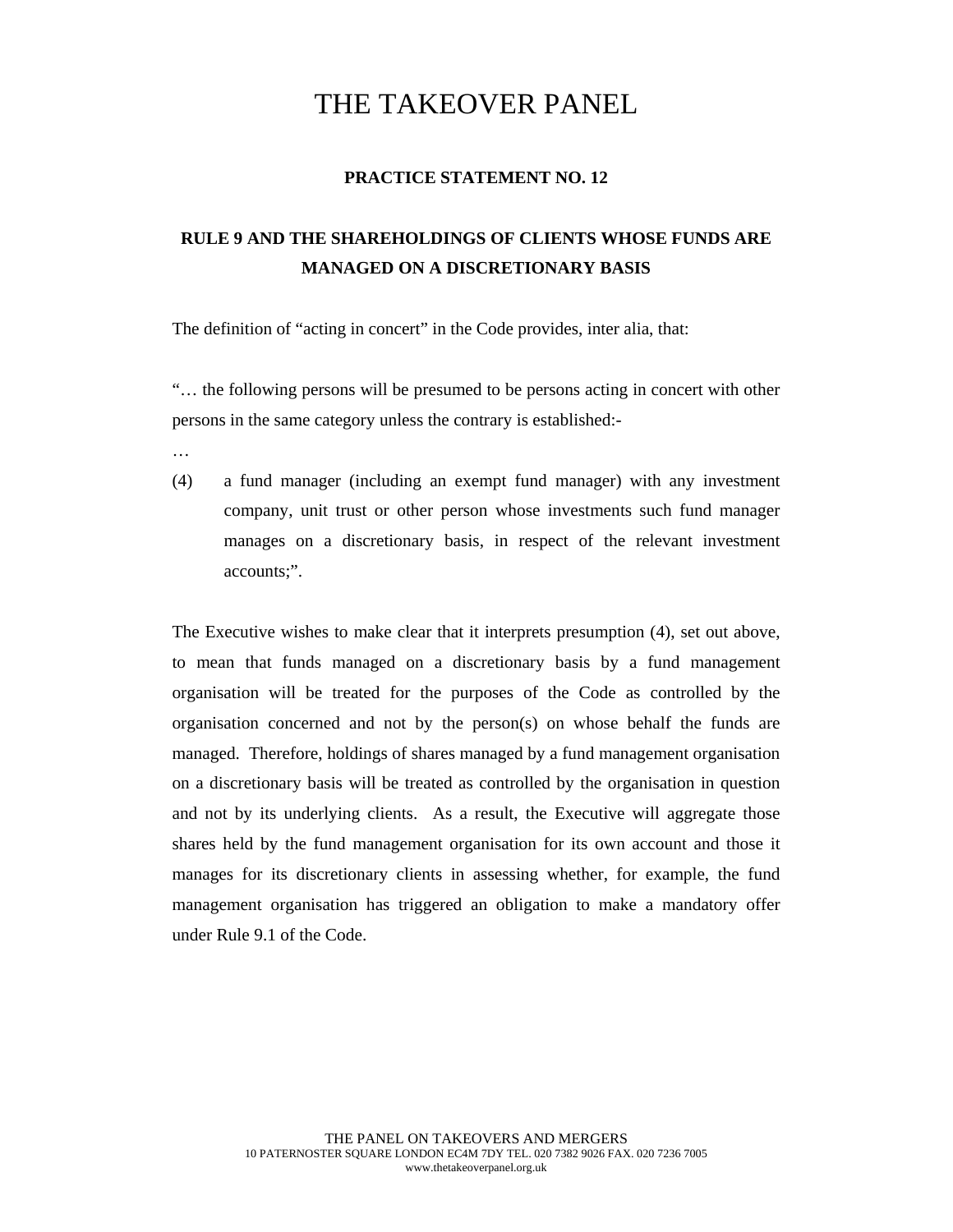## THE TAKEOVER PANEL

### **PRACTICE STATEMENT NO. 12**

### **RULE 9 AND THE SHAREHOLDINGS OF CLIENTS WHOSE FUNDS ARE MANAGED ON A DISCRETIONARY BASIS**

The definition of "acting in concert" in the Code provides, inter alia, that:

"… the following persons will be presumed to be persons acting in concert with other persons in the same category unless the contrary is established:-

- …
- (4) a fund manager (including an exempt fund manager) with any investment company, unit trust or other person whose investments such fund manager manages on a discretionary basis, in respect of the relevant investment accounts;".

The Executive wishes to make clear that it interprets presumption (4), set out above, to mean that funds managed on a discretionary basis by a fund management organisation will be treated for the purposes of the Code as controlled by the organisation concerned and not by the person(s) on whose behalf the funds are managed. Therefore, holdings of shares managed by a fund management organisation on a discretionary basis will be treated as controlled by the organisation in question and not by its underlying clients. As a result, the Executive will aggregate those shares held by the fund management organisation for its own account and those it manages for its discretionary clients in assessing whether, for example, the fund management organisation has triggered an obligation to make a mandatory offer under Rule 9.1 of the Code.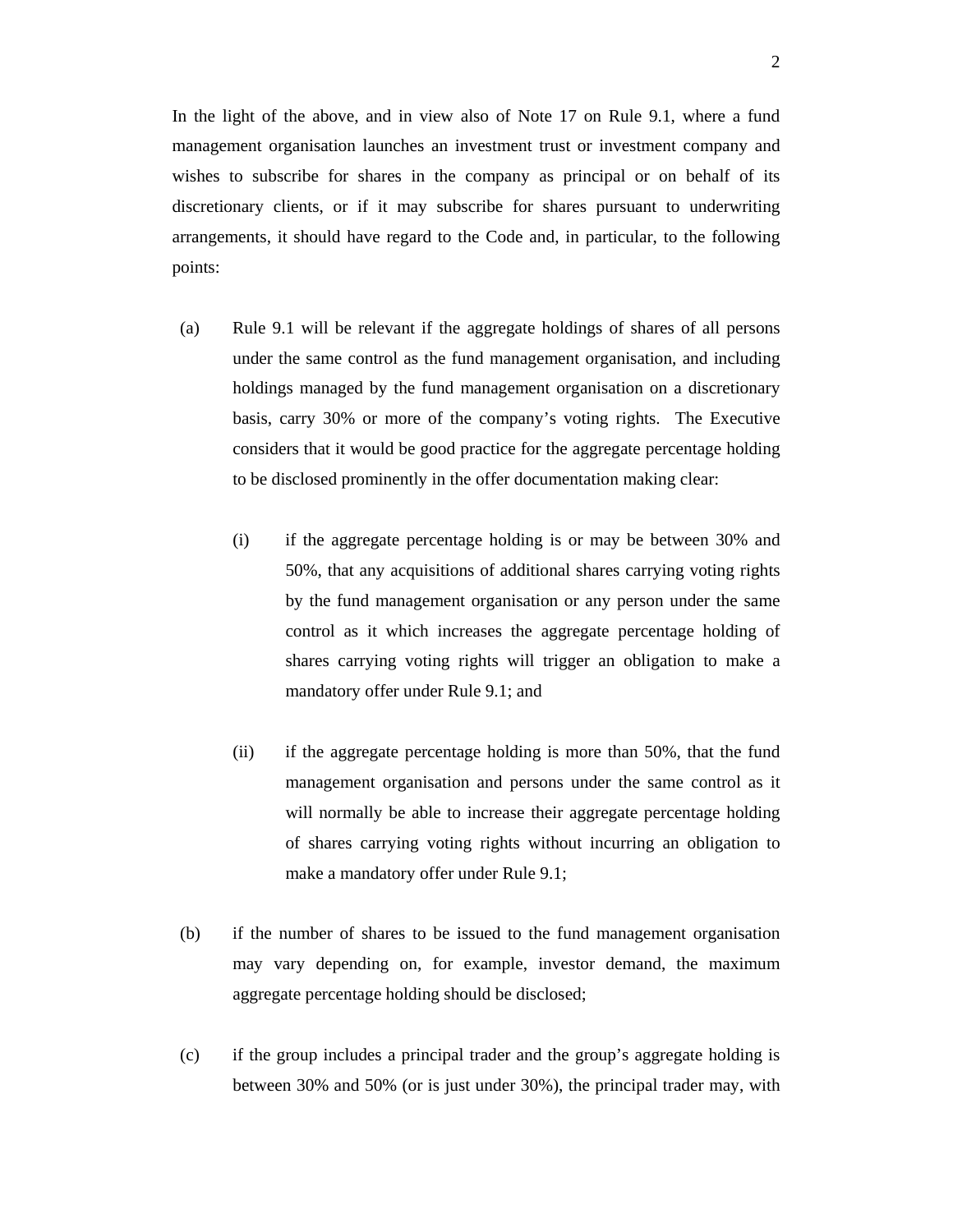In the light of the above, and in view also of Note 17 on Rule 9.1, where a fund management organisation launches an investment trust or investment company and wishes to subscribe for shares in the company as principal or on behalf of its discretionary clients, or if it may subscribe for shares pursuant to underwriting arrangements, it should have regard to the Code and, in particular, to the following points:

- (a) Rule 9.1 will be relevant if the aggregate holdings of shares of all persons under the same control as the fund management organisation, and including holdings managed by the fund management organisation on a discretionary basis, carry 30% or more of the company's voting rights. The Executive considers that it would be good practice for the aggregate percentage holding to be disclosed prominently in the offer documentation making clear:
	- (i) if the aggregate percentage holding is or may be between 30% and 50%, that any acquisitions of additional shares carrying voting rights by the fund management organisation or any person under the same control as it which increases the aggregate percentage holding of shares carrying voting rights will trigger an obligation to make a mandatory offer under Rule 9.1; and
	- (ii) if the aggregate percentage holding is more than 50%, that the fund management organisation and persons under the same control as it will normally be able to increase their aggregate percentage holding of shares carrying voting rights without incurring an obligation to make a mandatory offer under Rule 9.1;
- (b) if the number of shares to be issued to the fund management organisation may vary depending on, for example, investor demand, the maximum aggregate percentage holding should be disclosed;
- (c) if the group includes a principal trader and the group's aggregate holding is between 30% and 50% (or is just under 30%), the principal trader may, with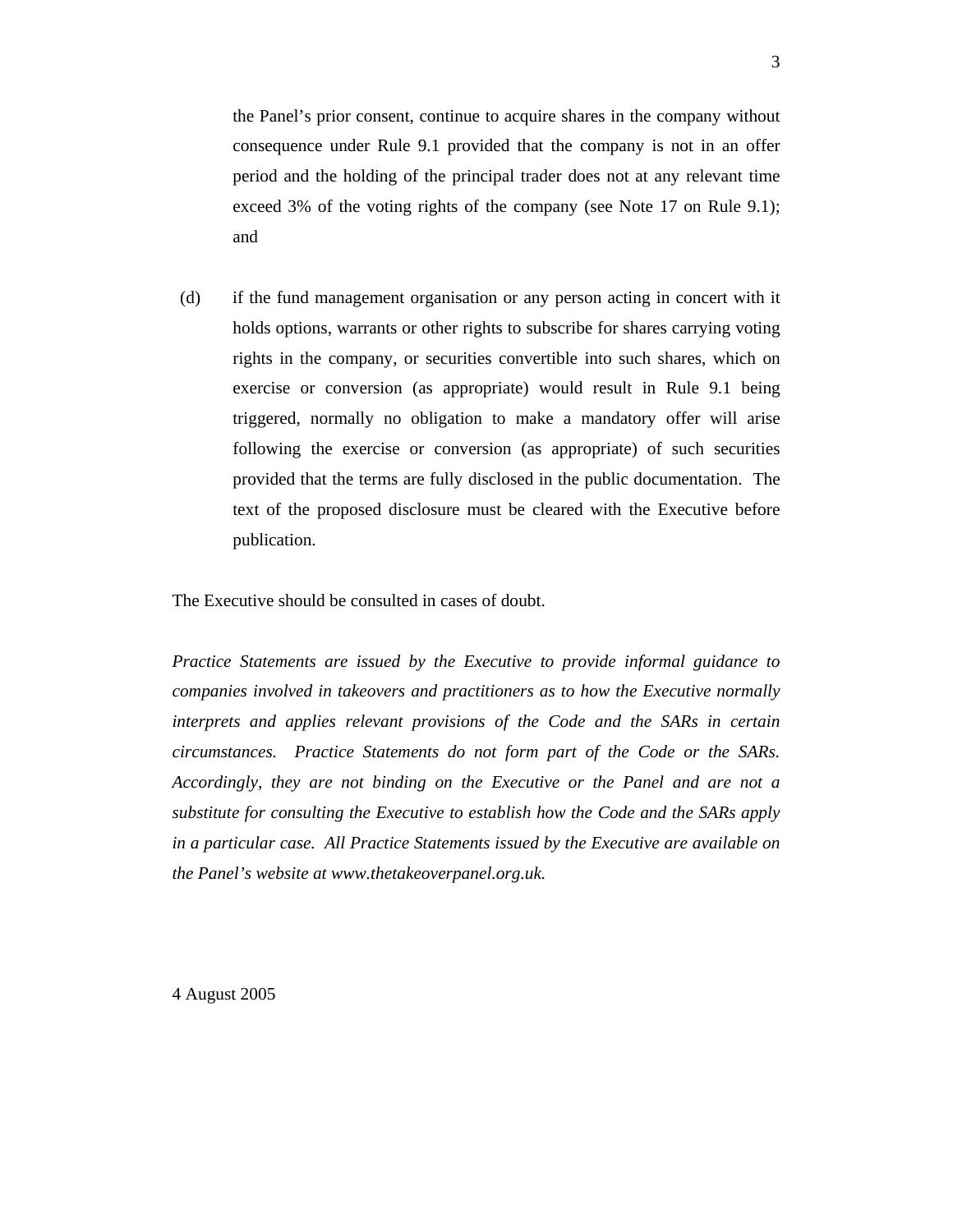the Panel's prior consent, continue to acquire shares in the company without consequence under Rule 9.1 provided that the company is not in an offer period and the holding of the principal trader does not at any relevant time exceed 3% of the voting rights of the company (see Note 17 on Rule 9.1); and

(d) if the fund management organisation or any person acting in concert with it holds options, warrants or other rights to subscribe for shares carrying voting rights in the company, or securities convertible into such shares, which on exercise or conversion (as appropriate) would result in Rule 9.1 being triggered, normally no obligation to make a mandatory offer will arise following the exercise or conversion (as appropriate) of such securities provided that the terms are fully disclosed in the public documentation. The text of the proposed disclosure must be cleared with the Executive before publication.

The Executive should be consulted in cases of doubt.

*Practice Statements are issued by the Executive to provide informal guidance to companies involved in takeovers and practitioners as to how the Executive normally interprets and applies relevant provisions of the Code and the SARs in certain circumstances. Practice Statements do not form part of the Code or the SARs. Accordingly, they are not binding on the Executive or the Panel and are not a substitute for consulting the Executive to establish how the Code and the SARs apply in a particular case. All Practice Statements issued by the Executive are available on the Panel's website at www.thetakeoverpanel.org.uk.* 

4 August 2005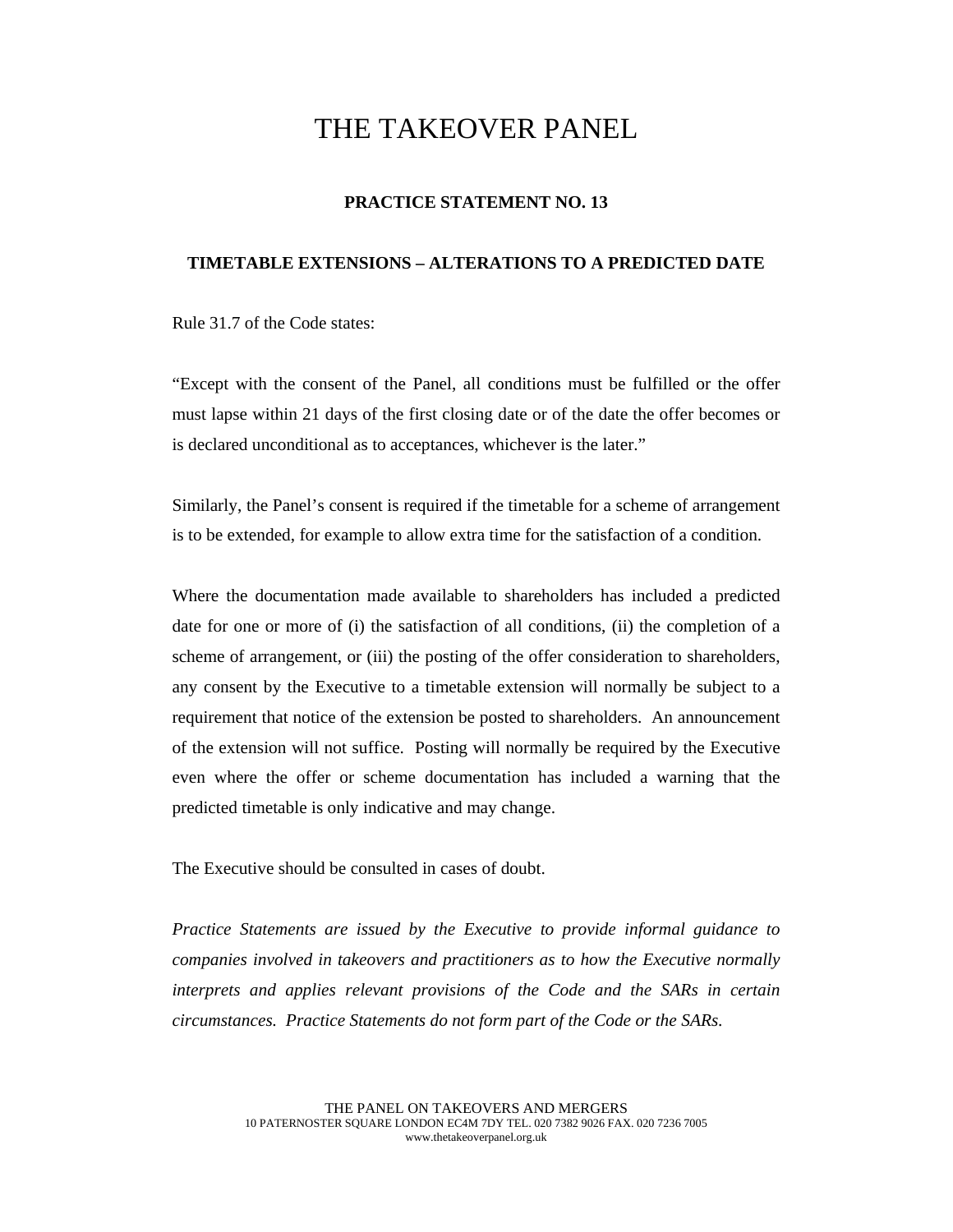## THE TAKEOVER PANEL

#### **PRACTICE STATEMENT NO. 13**

#### **TIMETABLE EXTENSIONS – ALTERATIONS TO A PREDICTED DATE**

Rule 31.7 of the Code states:

"Except with the consent of the Panel, all conditions must be fulfilled or the offer must lapse within 21 days of the first closing date or of the date the offer becomes or is declared unconditional as to acceptances, whichever is the later."

Similarly, the Panel's consent is required if the timetable for a scheme of arrangement is to be extended, for example to allow extra time for the satisfaction of a condition.

Where the documentation made available to shareholders has included a predicted date for one or more of (i) the satisfaction of all conditions, (ii) the completion of a scheme of arrangement, or (iii) the posting of the offer consideration to shareholders, any consent by the Executive to a timetable extension will normally be subject to a requirement that notice of the extension be posted to shareholders. An announcement of the extension will not suffice. Posting will normally be required by the Executive even where the offer or scheme documentation has included a warning that the predicted timetable is only indicative and may change.

The Executive should be consulted in cases of doubt.

*Practice Statements are issued by the Executive to provide informal guidance to companies involved in takeovers and practitioners as to how the Executive normally interprets and applies relevant provisions of the Code and the SARs in certain circumstances. Practice Statements do not form part of the Code or the SARs.*